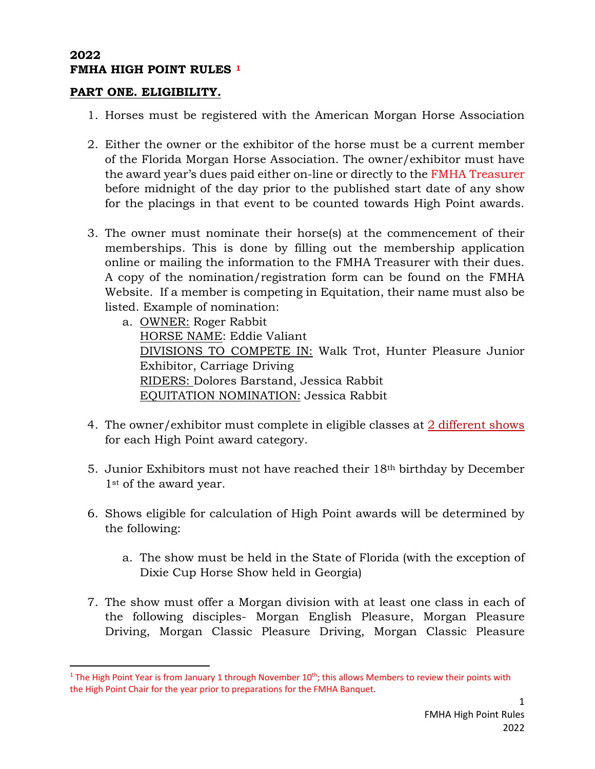### **2022 FMHA HIGH POINT RULES [1](#page-0-0)**

#### **PART ONE. ELIGIBILITY.**

- 1. Horses must be registered with the American Morgan Horse Association
- 2. Either the owner or the exhibitor of the horse must be a current member of the Florida Morgan Horse Association. The owner/exhibitor must have the award year's dues paid either on-line or directly to the FMHA Treasurer before midnight of the day prior to the published start date of any show for the placings in that event to be counted towards High Point awards.
- 3. The owner must nominate their horse(s) at the commencement of their memberships. This is done by filling out the membership application online or mailing the information to the FMHA Treasurer with their dues. A copy of the nomination/registration form can be found on the FMHA Website. If a member is competing in Equitation, their name must also be listed. Example of nomination:
	- a. OWNER: Roger Rabbit HORSE NAME: Eddie Valiant DIVISIONS TO COMPETE IN: Walk Trot, Hunter Pleasure Junior Exhibitor, Carriage Driving RIDERS: Dolores Barstand, Jessica Rabbit EQUITATION NOMINATION: Jessica Rabbit
- 4. The owner/exhibitor must complete in eligible classes at  $2$  different shows for each High Point award category.
- 5. Junior Exhibitors must not have reached their 18th birthday by December 1<sup>st</sup> of the award year.
- 6. Shows eligible for calculation of High Point awards will be determined by the following:
	- a. The show must be held in the State of Florida (with the exception of Dixie Cup Horse Show held in Georgia)
- 7. The show must offer a Morgan division with at least one class in each of the following disciples- Morgan English Pleasure, Morgan Pleasure Driving, Morgan Classic Pleasure Driving, Morgan Classic Pleasure

<span id="page-0-0"></span><sup>&</sup>lt;sup>1</sup> The High Point Year is from January 1 through November  $10<sup>th</sup>$ ; this allows Members to review their points with the High Point Chair for the year prior to preparations for the FMHA Banquet.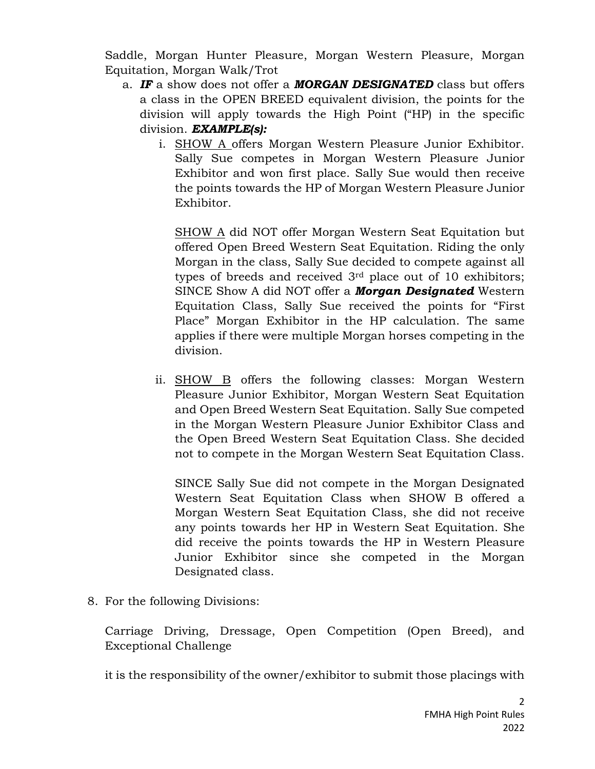Saddle, Morgan Hunter Pleasure, Morgan Western Pleasure, Morgan Equitation, Morgan Walk/Trot

- a. *IF* a show does not offer a *MORGAN DESIGNATED* class but offers a class in the OPEN BREED equivalent division, the points for the division will apply towards the High Point ("HP) in the specific division. *EXAMPLE(s):*
	- i. SHOW A offers Morgan Western Pleasure Junior Exhibitor. Sally Sue competes in Morgan Western Pleasure Junior Exhibitor and won first place. Sally Sue would then receive the points towards the HP of Morgan Western Pleasure Junior Exhibitor.

SHOW A did NOT offer Morgan Western Seat Equitation but offered Open Breed Western Seat Equitation. Riding the only Morgan in the class, Sally Sue decided to compete against all types of breeds and received 3rd place out of 10 exhibitors; SINCE Show A did NOT offer a *Morgan Designated* Western Equitation Class, Sally Sue received the points for "First Place" Morgan Exhibitor in the HP calculation. The same applies if there were multiple Morgan horses competing in the division.

ii. SHOW B offers the following classes: Morgan Western Pleasure Junior Exhibitor, Morgan Western Seat Equitation and Open Breed Western Seat Equitation. Sally Sue competed in the Morgan Western Pleasure Junior Exhibitor Class and the Open Breed Western Seat Equitation Class. She decided not to compete in the Morgan Western Seat Equitation Class.

SINCE Sally Sue did not compete in the Morgan Designated Western Seat Equitation Class when SHOW B offered a Morgan Western Seat Equitation Class, she did not receive any points towards her HP in Western Seat Equitation. She did receive the points towards the HP in Western Pleasure Junior Exhibitor since she competed in the Morgan Designated class.

8. For the following Divisions:

Carriage Driving, Dressage, Open Competition (Open Breed), and Exceptional Challenge

it is the responsibility of the owner/exhibitor to submit those placings with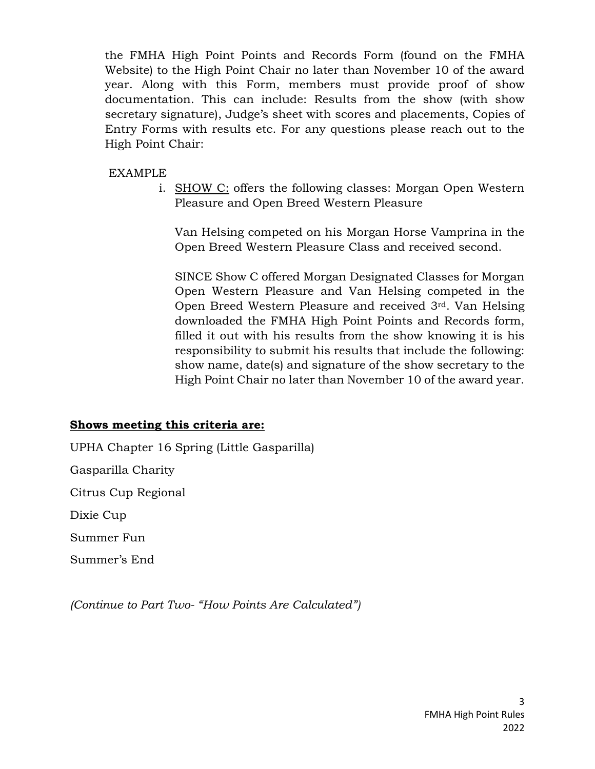the FMHA High Point Points and Records Form (found on the FMHA Website) to the High Point Chair no later than November 10 of the award year. Along with this Form, members must provide proof of show documentation. This can include: Results from the show (with show secretary signature), Judge's sheet with scores and placements, Copies of Entry Forms with results etc. For any questions please reach out to the High Point Chair:

#### EXAMPLE

i. SHOW C: offers the following classes: Morgan Open Western Pleasure and Open Breed Western Pleasure

Van Helsing competed on his Morgan Horse Vamprina in the Open Breed Western Pleasure Class and received second.

SINCE Show C offered Morgan Designated Classes for Morgan Open Western Pleasure and Van Helsing competed in the Open Breed Western Pleasure and received 3rd. Van Helsing downloaded the FMHA High Point Points and Records form, filled it out with his results from the show knowing it is his responsibility to submit his results that include the following: show name, date(s) and signature of the show secretary to the High Point Chair no later than November 10 of the award year.

### **Shows meeting this criteria are:**

UPHA Chapter 16 Spring (Little Gasparilla)

Gasparilla Charity

Citrus Cup Regional

Dixie Cup

Summer Fun

Summer's End

*(Continue to Part Two- "How Points Are Calculated")*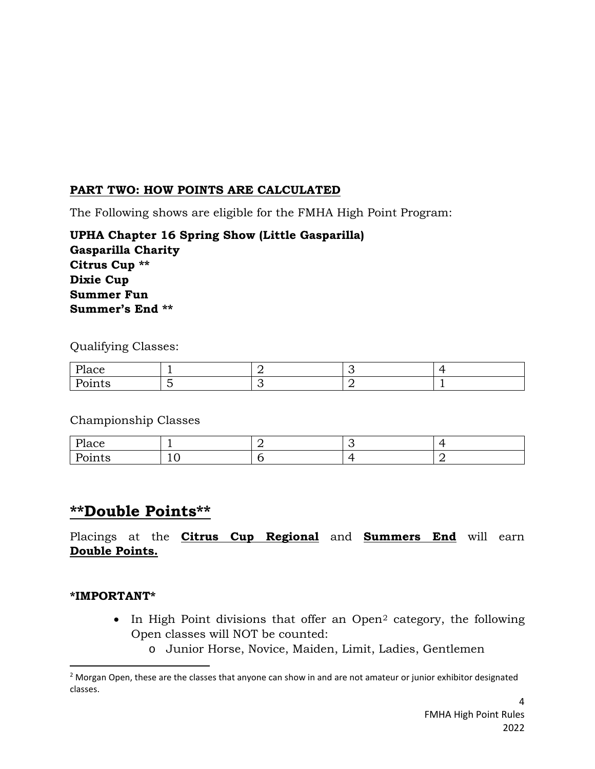### **PART TWO: HOW POINTS ARE CALCULATED**

The Following shows are eligible for the FMHA High Point Program:

### **UPHA Chapter 16 Spring Show (Little Gasparilla) Gasparilla Charity Citrus Cup \*\* Dixie Cup Summer Fun Summer's End \*\***

Qualifying Classes:

| -         |  |  |
|-----------|--|--|
| ∽<br>____ |  |  |

Championship Classes

| $\sim$<br>a we               |   |  |  |
|------------------------------|---|--|--|
| $\overline{\phantom{0}}$<br> | - |  |  |

# **\*\*Double Points\*\***

Placings at the **Citrus Cup Regional** and **Summers End** will earn **Double Points.**

#### **\*IMPORTANT\***

- In High Point divisions that offer an Open<sup>[2](#page-3-0)</sup> category, the following Open classes will NOT be counted:
	- o Junior Horse, Novice, Maiden, Limit, Ladies, Gentlemen

<span id="page-3-0"></span><sup>&</sup>lt;sup>2</sup> Morgan Open, these are the classes that anyone can show in and are not amateur or junior exhibitor designated classes.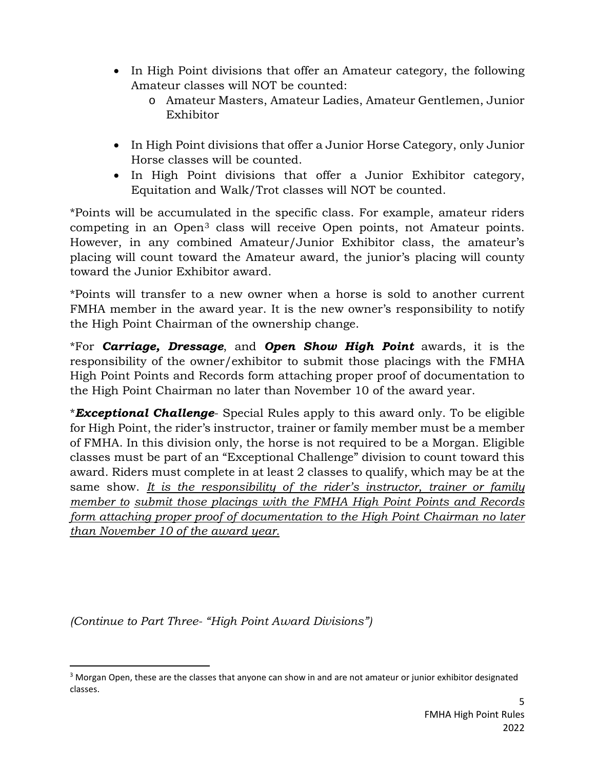- In High Point divisions that offer an Amateur category, the following Amateur classes will NOT be counted:
	- o Amateur Masters, Amateur Ladies, Amateur Gentlemen, Junior Exhibitor
- In High Point divisions that offer a Junior Horse Category, only Junior Horse classes will be counted.
- In High Point divisions that offer a Junior Exhibitor category, Equitation and Walk/Trot classes will NOT be counted.

\*Points will be accumulated in the specific class. For example, amateur riders competing in an Open[3](#page-4-0) class will receive Open points, not Amateur points. However, in any combined Amateur/Junior Exhibitor class, the amateur's placing will count toward the Amateur award, the junior's placing will county toward the Junior Exhibitor award.

\*Points will transfer to a new owner when a horse is sold to another current FMHA member in the award year. It is the new owner's responsibility to notify the High Point Chairman of the ownership change.

\*For *Carriage, Dressage*, and *Open Show High Point* awards, it is the responsibility of the owner/exhibitor to submit those placings with the FMHA High Point Points and Records form attaching proper proof of documentation to the High Point Chairman no later than November 10 of the award year.

\**Exceptional Challenge*- Special Rules apply to this award only. To be eligible for High Point, the rider's instructor, trainer or family member must be a member of FMHA. In this division only, the horse is not required to be a Morgan. Eligible classes must be part of an "Exceptional Challenge" division to count toward this award. Riders must complete in at least 2 classes to qualify, which may be at the same show. *It is the responsibility of the rider's instructor, trainer or family member to submit those placings with the FMHA High Point Points and Records form attaching proper proof of documentation to the High Point Chairman no later than November 10 of the award year.* 

*(Continue to Part Three- "High Point Award Divisions")* 

<span id="page-4-0"></span><sup>&</sup>lt;sup>3</sup> Morgan Open, these are the classes that anyone can show in and are not amateur or junior exhibitor designated classes.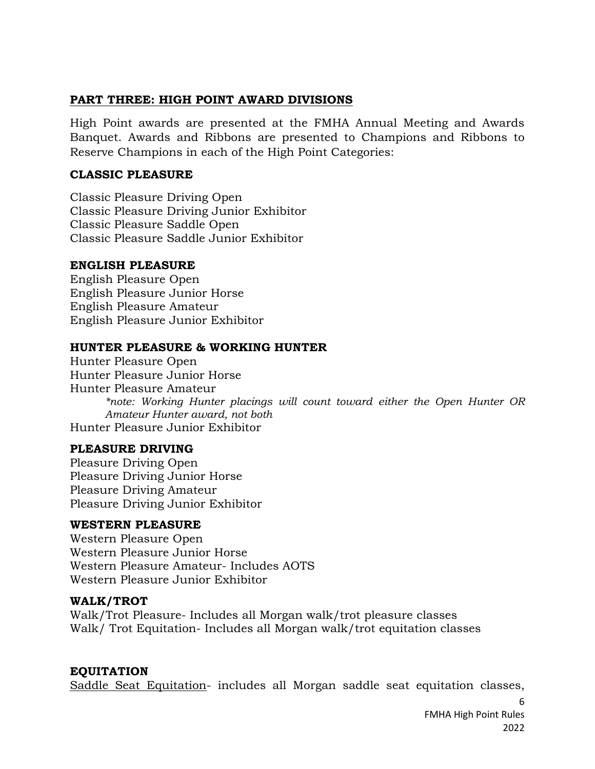### **PART THREE: HIGH POINT AWARD DIVISIONS**

High Point awards are presented at the FMHA Annual Meeting and Awards Banquet. Awards and Ribbons are presented to Champions and Ribbons to Reserve Champions in each of the High Point Categories:

#### **CLASSIC PLEASURE**

Classic Pleasure Driving Open Classic Pleasure Driving Junior Exhibitor Classic Pleasure Saddle Open Classic Pleasure Saddle Junior Exhibitor

#### **ENGLISH PLEASURE**

English Pleasure Open English Pleasure Junior Horse English Pleasure Amateur English Pleasure Junior Exhibitor

#### **HUNTER PLEASURE & WORKING HUNTER**

Hunter Pleasure Open Hunter Pleasure Junior Horse Hunter Pleasure Amateur *\*note: Working Hunter placings will count toward either the Open Hunter OR Amateur Hunter award, not both*  Hunter Pleasure Junior Exhibitor

#### **PLEASURE DRIVING**

Pleasure Driving Open Pleasure Driving Junior Horse Pleasure Driving Amateur Pleasure Driving Junior Exhibitor

#### **WESTERN PLEASURE**

Western Pleasure Open Western Pleasure Junior Horse Western Pleasure Amateur- Includes AOTS Western Pleasure Junior Exhibitor

#### **WALK/TROT**

Walk/Trot Pleasure- Includes all Morgan walk/trot pleasure classes Walk/ Trot Equitation- Includes all Morgan walk/trot equitation classes

#### **EQUITATION**

Saddle Seat Equitation- includes all Morgan saddle seat equitation classes,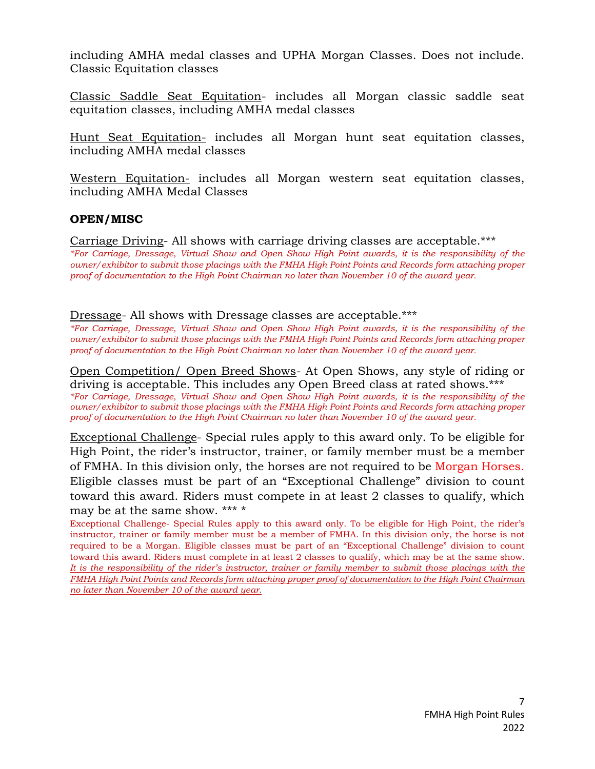including AMHA medal classes and UPHA Morgan Classes. Does not include. Classic Equitation classes

Classic Saddle Seat Equitation- includes all Morgan classic saddle seat equitation classes, including AMHA medal classes

Hunt Seat Equitation- includes all Morgan hunt seat equitation classes, including AMHA medal classes

Western Equitation- includes all Morgan western seat equitation classes, including AMHA Medal Classes

#### **OPEN/MISC**

Carriage Driving- All shows with carriage driving classes are acceptable.\*\*\* *\*For Carriage, Dressage, Virtual Show and Open Show High Point awards, it is the responsibility of the owner/exhibitor to submit those placings with the FMHA High Point Points and Records form attaching proper proof of documentation to the High Point Chairman no later than November 10 of the award year.* 

#### Dressage- All shows with Dressage classes are acceptable.\*\*\*

*\*For Carriage, Dressage, Virtual Show and Open Show High Point awards, it is the responsibility of the owner/exhibitor to submit those placings with the FMHA High Point Points and Records form attaching proper proof of documentation to the High Point Chairman no later than November 10 of the award year.* 

Open Competition/ Open Breed Shows- At Open Shows, any style of riding or driving is acceptable. This includes any Open Breed class at rated shows.\*\*\* *\*For Carriage, Dressage, Virtual Show and Open Show High Point awards, it is the responsibility of the owner/exhibitor to submit those placings with the FMHA High Point Points and Records form attaching proper proof of documentation to the High Point Chairman no later than November 10 of the award year.* 

Exceptional Challenge- Special rules apply to this award only. To be eligible for High Point, the rider's instructor, trainer, or family member must be a member of FMHA. In this division only, the horses are not required to be Morgan Horses. Eligible classes must be part of an "Exceptional Challenge" division to count toward this award. Riders must compete in at least 2 classes to qualify, which may be at the same show. \*\*\* \*

Exceptional Challenge- Special Rules apply to this award only. To be eligible for High Point, the rider's instructor, trainer or family member must be a member of FMHA. In this division only, the horse is not required to be a Morgan. Eligible classes must be part of an "Exceptional Challenge" division to count toward this award. Riders must complete in at least 2 classes to qualify, which may be at the same show. *It is the responsibility of the rider's instructor, trainer or family member to submit those placings with the FMHA High Point Points and Records form attaching proper proof of documentation to the High Point Chairman no later than November 10 of the award year.*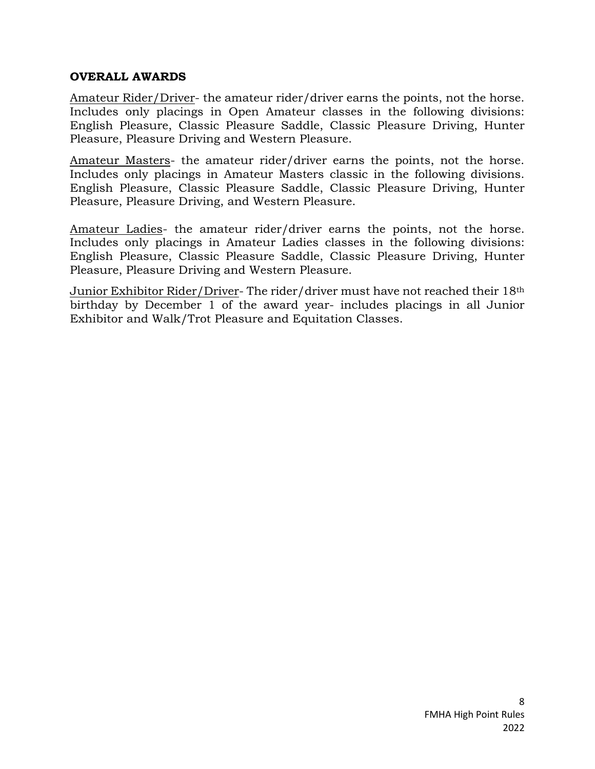#### **OVERALL AWARDS**

Amateur Rider/Driver- the amateur rider/driver earns the points, not the horse. Includes only placings in Open Amateur classes in the following divisions: English Pleasure, Classic Pleasure Saddle, Classic Pleasure Driving, Hunter Pleasure, Pleasure Driving and Western Pleasure.

Amateur Masters- the amateur rider/driver earns the points, not the horse. Includes only placings in Amateur Masters classic in the following divisions. English Pleasure, Classic Pleasure Saddle, Classic Pleasure Driving, Hunter Pleasure, Pleasure Driving, and Western Pleasure.

Amateur Ladies- the amateur rider/driver earns the points, not the horse. Includes only placings in Amateur Ladies classes in the following divisions: English Pleasure, Classic Pleasure Saddle, Classic Pleasure Driving, Hunter Pleasure, Pleasure Driving and Western Pleasure.

Junior Exhibitor Rider/Driver- The rider/driver must have not reached their 18th birthday by December 1 of the award year- includes placings in all Junior Exhibitor and Walk/Trot Pleasure and Equitation Classes.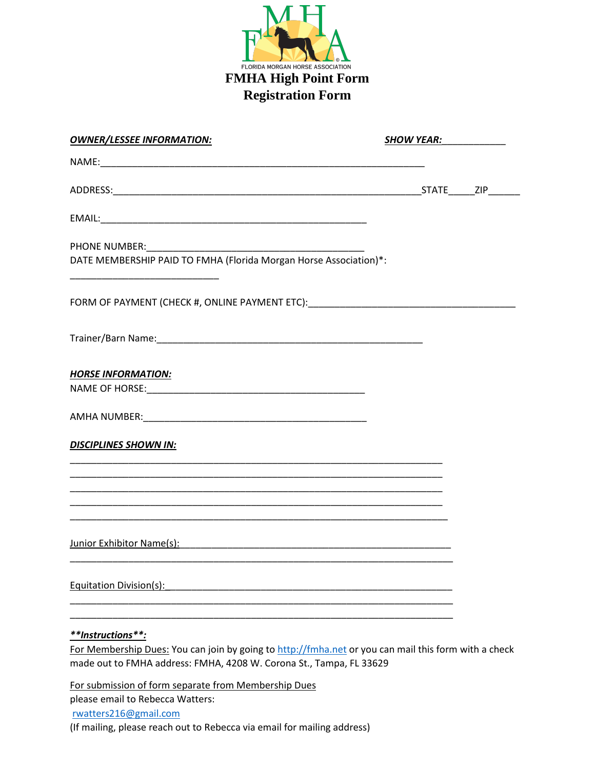

| <b>OWNER/LESSEE INFORMATION:</b>                                                                               | <b>SHOW YEAR:</b> SHOW YEAR: |  |  |
|----------------------------------------------------------------------------------------------------------------|------------------------------|--|--|
|                                                                                                                |                              |  |  |
|                                                                                                                |                              |  |  |
|                                                                                                                |                              |  |  |
|                                                                                                                |                              |  |  |
| DATE MEMBERSHIP PAID TO FMHA (Florida Morgan Horse Association)*:                                              |                              |  |  |
| FORM OF PAYMENT (CHECK #, ONLINE PAYMENT ETC): _________________________________                               |                              |  |  |
|                                                                                                                |                              |  |  |
| <b>HORSE INFORMATION:</b>                                                                                      |                              |  |  |
|                                                                                                                |                              |  |  |
|                                                                                                                |                              |  |  |
| <b>DISCIPLINES SHOWN IN:</b>                                                                                   |                              |  |  |
|                                                                                                                |                              |  |  |
|                                                                                                                |                              |  |  |
|                                                                                                                |                              |  |  |
| Junior Exhibitor Name(s): All Allen Containers and Containers and Containers and Containers and Containers and |                              |  |  |
| <b>Equitation Division(s):</b><br><u> 1989 - Johann Barbara, margaret eta idazlearia (h. 1989).</u>            |                              |  |  |
|                                                                                                                |                              |  |  |
| **Instructions**:                                                                                              |                              |  |  |
| For Membership Dues: You can join by going to http://fmha.net or you can mail this form with a check           |                              |  |  |
| made out to FMHA address: FMHA, 4208 W. Corona St., Tampa, FL 33629                                            |                              |  |  |
| For submission of form separate from Membership Dues                                                           |                              |  |  |

please email to Rebecca Watters:

[rwatters216@gmail.com](mailto:rwatters216@gmail.com)

(If mailing, please reach out to Rebecca via email for mailing address)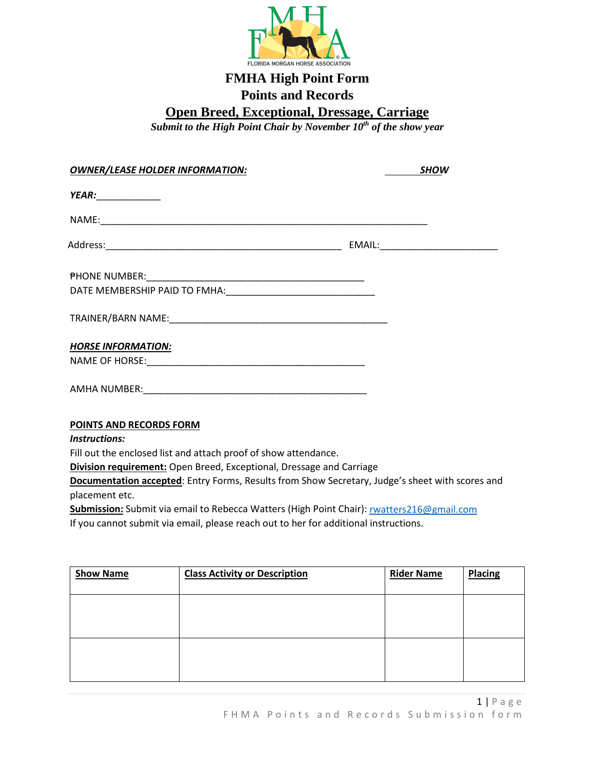

### **FMHA High Point Form**

## **Points and Records**

**Open Breed, Exceptional, Dressage, Carriage** 

*Submit to the High Point Chair by November*  $10^{th}$  *of the show year* 

| <b>OWNER/LEASE HOLDER INFORMATION:</b> | <b>SHOW</b> |
|----------------------------------------|-------------|
| <b>YEAR:____________</b>               |             |
|                                        |             |
|                                        |             |
|                                        |             |
|                                        |             |
|                                        |             |
| <b>HORSE INFORMATION:</b>              |             |
|                                        |             |
|                                        |             |
| POINTS AND RECORDS FORM                |             |
| <i><b>Instructions:</b></i>            |             |

Fill out the enclosed list and attach proof of show attendance.

**Division requirement:** Open Breed, Exceptional, Dressage and Carriage

**Documentation accepted**: Entry Forms, Results from Show Secretary, Judge's sheet with scores and placement etc.

**Submission:** Submit via email to Rebecca Watters (High Point Chair): [rwatters216@gmail.com](mailto:rwatters216@gmail.com)

If you cannot submit via email, please reach out to her for additional instructions.

| <b>Show Name</b> | <b>Class Activity or Description</b> | <b>Rider Name</b> | <b>Placing</b> |
|------------------|--------------------------------------|-------------------|----------------|
|                  |                                      |                   |                |
|                  |                                      |                   |                |
|                  |                                      |                   |                |
|                  |                                      |                   |                |
|                  |                                      |                   |                |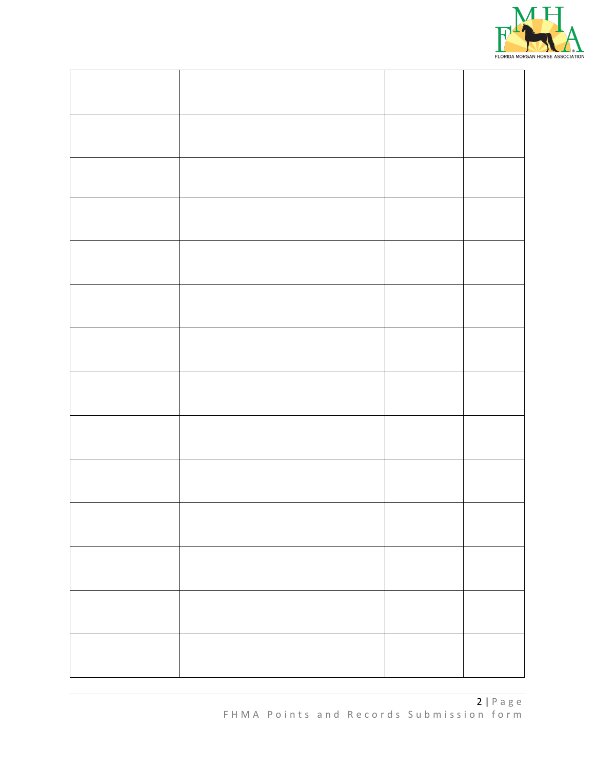